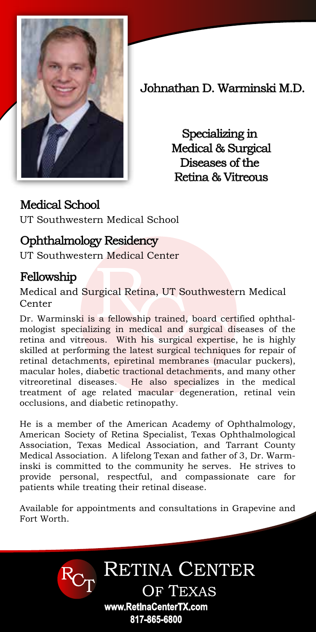

Johnathan D. Warminski M.D.

Specializing in Medical & Surgical Diseases of the Retina & Vitreous

## Medical School

UT Southwestern Medical School

## Ophthalmology Residency

UT Southwestern Medical Center

## Fellowship

Medical and Surgical Retina, UT Southwestern Medical Center

Dr. Warminski is a fellowship trained, board certified ophthalmologist specializing in medical and surgical diseases of the retina and vitreous. With his surgical expertise, he is highly skilled at performing the latest surgical techniques for repair of retinal detachments, epiretinal membranes (macular puckers), macular holes, diabetic tractional detachments, and many other vitreoretinal diseases. He also specializes in the medical treatment of age related macular degeneration, retinal vein occlusions, and diabetic retinopathy.

He is a member of the American Academy of Ophthalmology, American Society of Retina Specialist, Texas Ophthalmological Association, Texas Medical Association, and Tarrant County Medical Association. A lifelong Texan and father of 3, Dr. Warminski is committed to the community he serves. He strives to provide personal, respectful, and compassionate care for patients while treating their retinal disease.

Available for appointments and consultations in Grapevine and Fort Worth.